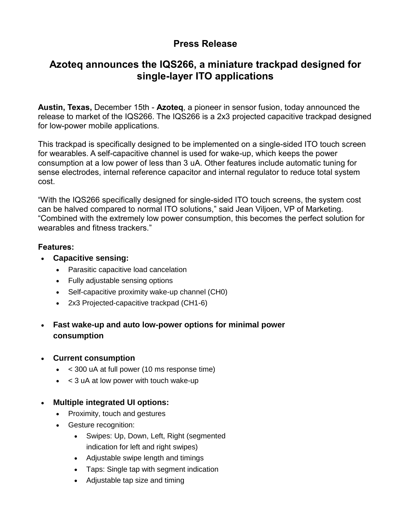# **Press Release**

# **Azoteq announces the IQS266, a miniature trackpad designed for single-layer ITO applications**

**Austin, Texas,** December 15th - **Azoteq**, a pioneer in sensor fusion, today announced the release to market of the IQS266. The IQS266 is a 2x3 projected capacitive trackpad designed for low-power mobile applications.

This trackpad is specifically designed to be implemented on a single-sided ITO touch screen for wearables. A self-capacitive channel is used for wake-up, which keeps the power consumption at a low power of less than 3 uA. Other features include automatic tuning for sense electrodes, internal reference capacitor and internal regulator to reduce total system cost.

"With the IQS266 specifically designed for single-sided ITO touch screens, the system cost can be halved compared to normal ITO solutions," said Jean Viljoen, VP of Marketing. "Combined with the extremely low power consumption, this becomes the perfect solution for wearables and fitness trackers."

#### **Features:**

- **Capacitive sensing:**
	- Parasitic capacitive load cancelation
	- Fully adjustable sensing options
	- Self-capacitive proximity wake-up channel (CH0)
	- 2x3 Projected-capacitive trackpad (CH1-6)
- **Fast wake-up and auto low-power options for minimal power consumption**
- **Current consumption**
	- < 300 uA at full power (10 ms response time)
	- < 3 uA at low power with touch wake-up
- **Multiple integrated UI options:**
	- Proximity, touch and gestures
	- Gesture recognition:
		- Swipes: Up, Down, Left, Right (segmented indication for left and right swipes)
		- Adjustable swipe length and timings
		- Taps: Single tap with segment indication
		- Adjustable tap size and timing